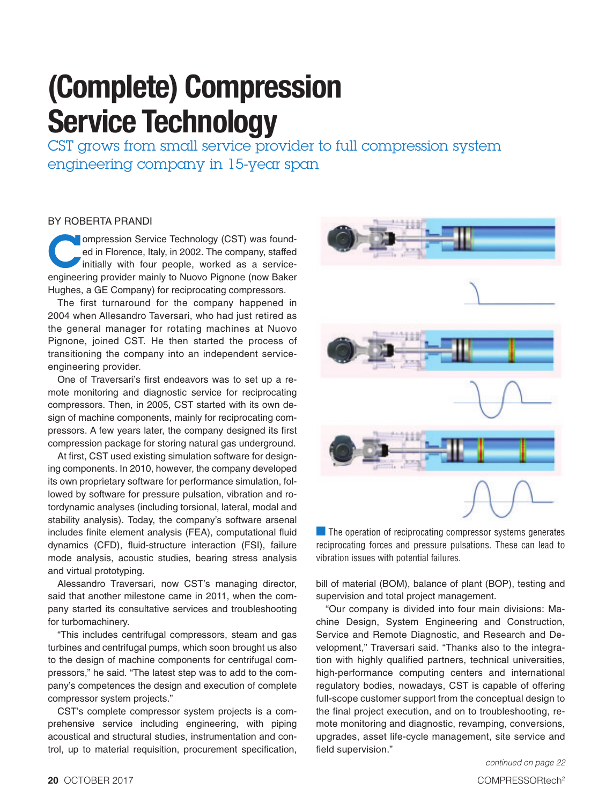## **(Complete) Compression Service Technology**

CST grows from small service provider to full compression system engineering company in 15-year span

## BY ROBERTA PRANDI

Impression Service Technology (CST) was found-<br>ed in Florence, Italy, in 2002. The company, staffed<br>initially with four people, worked as a service-<br>and position revider mainly to Nuove Bignone (now Baker ed in Florence, Italy, in 2002. The company, staffed initially with four people, worked as a serviceengineering provider mainly to Nuovo Pignone (now Baker Hughes, a GE Company) for reciprocating compressors.

The first turnaround for the company happened in 2004 when Allesandro Taversari, who had just retired as the general manager for rotating machines at Nuovo Pignone, joined CST. He then started the process of transitioning the company into an independent serviceengineering provider.

One of Traversari's first endeavors was to set up a remote monitoring and diagnostic service for reciprocating compressors. Then, in 2005, CST started with its own design of machine components, mainly for reciprocating compressors. A few years later, the company designed its first compression package for storing natural gas underground.

At first, CST used existing simulation software for designing components. In 2010, however, the company developed its own proprietary software for performance simulation, followed by software for pressure pulsation, vibration and rotordynamic analyses (including torsional, lateral, modal and stability analysis). Today, the company's software arsenal includes finite element analysis (FEA), computational fluid dynamics (CFD), fluid-structure interaction (FSI), failure mode analysis, acoustic studies, bearing stress analysis and virtual prototyping.

Alessandro Traversari, now CST's managing director, said that another milestone came in 2011, when the company started its consultative services and troubleshooting for turbomachinery.

"This includes centrifugal compressors, steam and gas turbines and centrifugal pumps, which soon brought us also to the design of machine components for centrifugal compressors," he said. "The latest step was to add to the company's competences the design and execution of complete compressor system projects."

CST's complete compressor system projects is a comprehensive service including engineering, with piping acoustical and structural studies, instrumentation and control, up to material requisition, procurement specification,



 $\blacksquare$  The operation of reciprocating compressor systems generates reciprocating forces and pressure pulsations. These can lead to vibration issues with potential failures.

bill of material (BOM), balance of plant (BOP), testing and supervision and total project management.

"Our company is divided into four main divisions: Machine Design, System Engineering and Construction, Service and Remote Diagnostic, and Research and Development," Traversari said. "Thanks also to the integration with highly qualified partners, technical universities, high-performance computing centers and international regulatory bodies, nowadays, CST is capable of offering full-scope customer support from the conceptual design to the final project execution, and on to troubleshooting, remote monitoring and diagnostic, revamping, conversions, upgrades, asset life-cycle management, site service and field supervision."